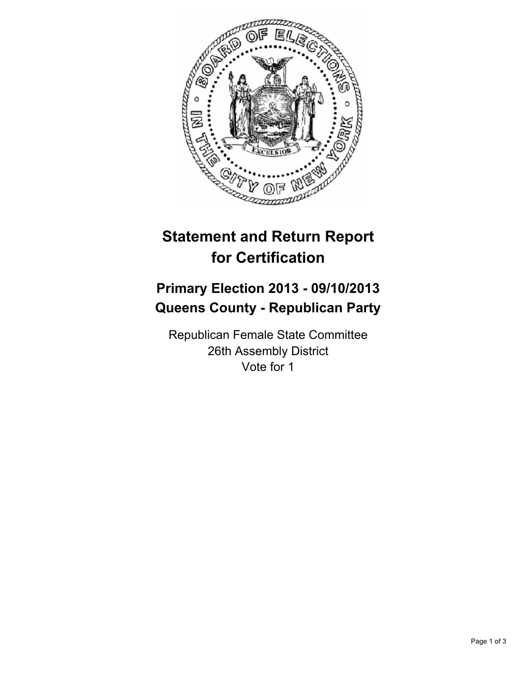

# **Statement and Return Report for Certification**

## **Primary Election 2013 - 09/10/2013 Queens County - Republican Party**

Republican Female State Committee 26th Assembly District Vote for 1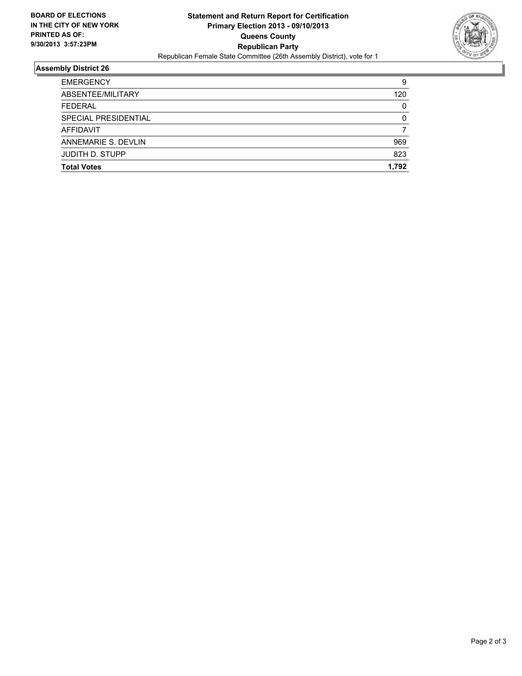

### **Assembly District 26**

| <b>Total Votes</b>     | 1.792    |
|------------------------|----------|
|                        |          |
| <b>JUDITH D. STUPP</b> | 823      |
| ANNEMARIE S. DEVLIN    | 969      |
| AFFIDAVIT              |          |
| SPECIAL PRESIDENTIAL   | 0        |
| <b>FEDERAL</b>         | $\Omega$ |
| ABSENTEE/MILITARY      | 120      |
| <b>EMERGENCY</b>       | 9        |